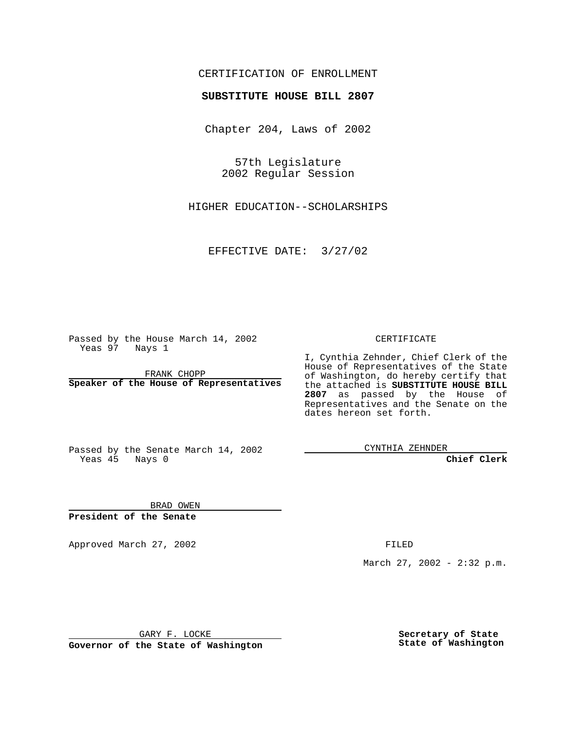## CERTIFICATION OF ENROLLMENT

# **SUBSTITUTE HOUSE BILL 2807**

Chapter 204, Laws of 2002

57th Legislature 2002 Regular Session

HIGHER EDUCATION--SCHOLARSHIPS

EFFECTIVE DATE: 3/27/02

Passed by the House March 14, 2002 Yeas 97 Nays 1

FRANK CHOPP **Speaker of the House of Representatives** CERTIFICATE

I, Cynthia Zehnder, Chief Clerk of the House of Representatives of the State of Washington, do hereby certify that the attached is **SUBSTITUTE HOUSE BILL 2807** as passed by the House of Representatives and the Senate on the dates hereon set forth.

Passed by the Senate March 14, 2002 Yeas 45 Nays 0

CYNTHIA ZEHNDER

**Chief Clerk**

BRAD OWEN **President of the Senate**

Approved March 27, 2002 **FILED** 

March 27, 2002 - 2:32 p.m.

GARY F. LOCKE

**Governor of the State of Washington**

**Secretary of State State of Washington**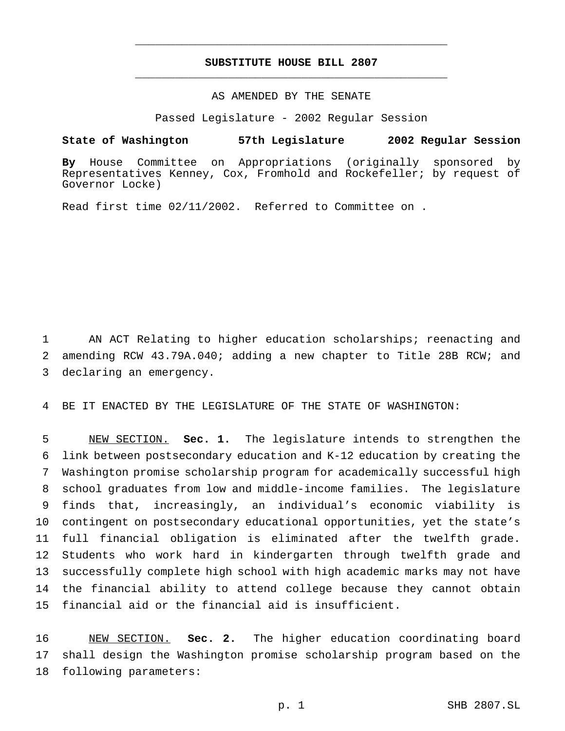## **SUBSTITUTE HOUSE BILL 2807** \_\_\_\_\_\_\_\_\_\_\_\_\_\_\_\_\_\_\_\_\_\_\_\_\_\_\_\_\_\_\_\_\_\_\_\_\_\_\_\_\_\_\_\_\_\_\_

\_\_\_\_\_\_\_\_\_\_\_\_\_\_\_\_\_\_\_\_\_\_\_\_\_\_\_\_\_\_\_\_\_\_\_\_\_\_\_\_\_\_\_\_\_\_\_

#### AS AMENDED BY THE SENATE

Passed Legislature - 2002 Regular Session

#### **State of Washington 57th Legislature 2002 Regular Session**

**By** House Committee on Appropriations (originally sponsored by Representatives Kenney, Cox, Fromhold and Rockefeller; by request of Governor Locke)

Read first time 02/11/2002. Referred to Committee on .

 AN ACT Relating to higher education scholarships; reenacting and amending RCW 43.79A.040; adding a new chapter to Title 28B RCW; and declaring an emergency.

BE IT ENACTED BY THE LEGISLATURE OF THE STATE OF WASHINGTON:

 NEW SECTION. **Sec. 1.** The legislature intends to strengthen the link between postsecondary education and K-12 education by creating the Washington promise scholarship program for academically successful high school graduates from low and middle-income families. The legislature finds that, increasingly, an individual's economic viability is contingent on postsecondary educational opportunities, yet the state's full financial obligation is eliminated after the twelfth grade. Students who work hard in kindergarten through twelfth grade and successfully complete high school with high academic marks may not have the financial ability to attend college because they cannot obtain financial aid or the financial aid is insufficient.

 NEW SECTION. **Sec. 2.** The higher education coordinating board shall design the Washington promise scholarship program based on the following parameters: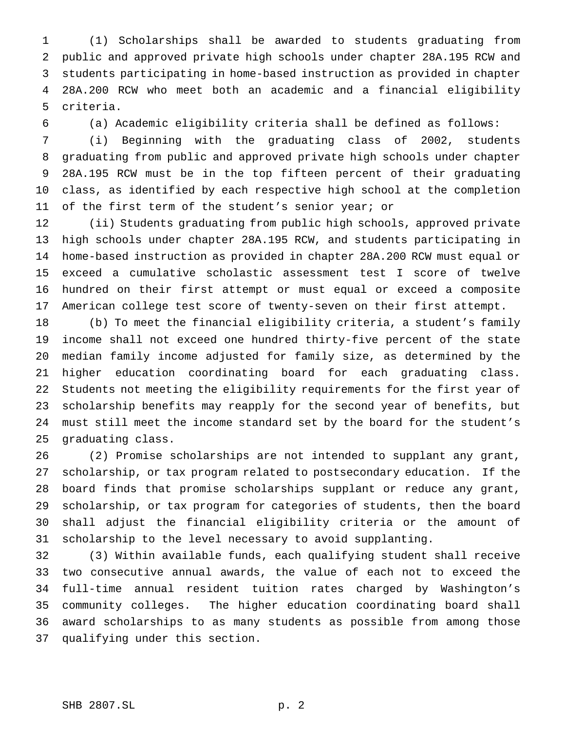(1) Scholarships shall be awarded to students graduating from public and approved private high schools under chapter 28A.195 RCW and students participating in home-based instruction as provided in chapter 28A.200 RCW who meet both an academic and a financial eligibility criteria.

(a) Academic eligibility criteria shall be defined as follows:

 (i) Beginning with the graduating class of 2002, students graduating from public and approved private high schools under chapter 28A.195 RCW must be in the top fifteen percent of their graduating class, as identified by each respective high school at the completion of the first term of the student's senior year; or

 (ii) Students graduating from public high schools, approved private high schools under chapter 28A.195 RCW, and students participating in home-based instruction as provided in chapter 28A.200 RCW must equal or exceed a cumulative scholastic assessment test I score of twelve hundred on their first attempt or must equal or exceed a composite American college test score of twenty-seven on their first attempt.

 (b) To meet the financial eligibility criteria, a student's family income shall not exceed one hundred thirty-five percent of the state median family income adjusted for family size, as determined by the higher education coordinating board for each graduating class. Students not meeting the eligibility requirements for the first year of scholarship benefits may reapply for the second year of benefits, but must still meet the income standard set by the board for the student's graduating class.

 (2) Promise scholarships are not intended to supplant any grant, scholarship, or tax program related to postsecondary education. If the board finds that promise scholarships supplant or reduce any grant, scholarship, or tax program for categories of students, then the board shall adjust the financial eligibility criteria or the amount of scholarship to the level necessary to avoid supplanting.

 (3) Within available funds, each qualifying student shall receive two consecutive annual awards, the value of each not to exceed the full-time annual resident tuition rates charged by Washington's community colleges. The higher education coordinating board shall award scholarships to as many students as possible from among those qualifying under this section.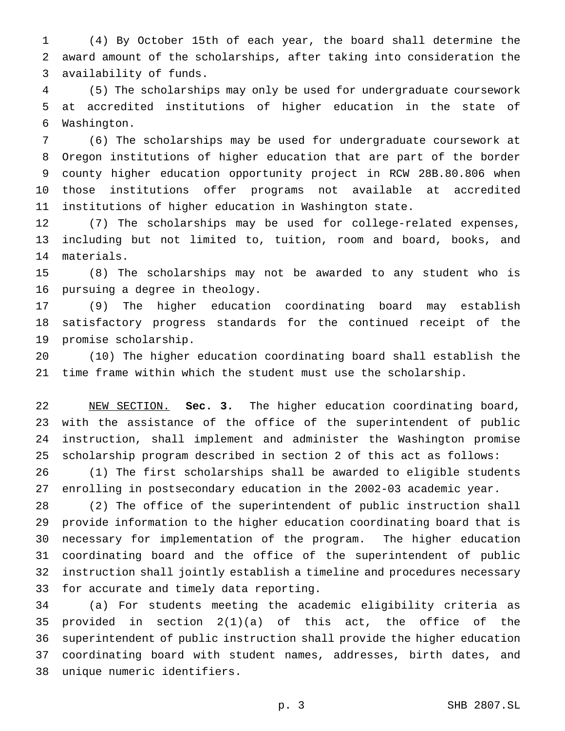(4) By October 15th of each year, the board shall determine the award amount of the scholarships, after taking into consideration the availability of funds.

 (5) The scholarships may only be used for undergraduate coursework at accredited institutions of higher education in the state of Washington.

 (6) The scholarships may be used for undergraduate coursework at Oregon institutions of higher education that are part of the border county higher education opportunity project in RCW 28B.80.806 when those institutions offer programs not available at accredited institutions of higher education in Washington state.

 (7) The scholarships may be used for college-related expenses, including but not limited to, tuition, room and board, books, and materials.

 (8) The scholarships may not be awarded to any student who is pursuing a degree in theology.

 (9) The higher education coordinating board may establish satisfactory progress standards for the continued receipt of the promise scholarship.

 (10) The higher education coordinating board shall establish the time frame within which the student must use the scholarship.

 NEW SECTION. **Sec. 3.** The higher education coordinating board, with the assistance of the office of the superintendent of public instruction, shall implement and administer the Washington promise scholarship program described in section 2 of this act as follows:

 (1) The first scholarships shall be awarded to eligible students enrolling in postsecondary education in the 2002-03 academic year.

 (2) The office of the superintendent of public instruction shall provide information to the higher education coordinating board that is necessary for implementation of the program. The higher education coordinating board and the office of the superintendent of public instruction shall jointly establish a timeline and procedures necessary for accurate and timely data reporting.

 (a) For students meeting the academic eligibility criteria as provided in section 2(1)(a) of this act, the office of the superintendent of public instruction shall provide the higher education coordinating board with student names, addresses, birth dates, and unique numeric identifiers.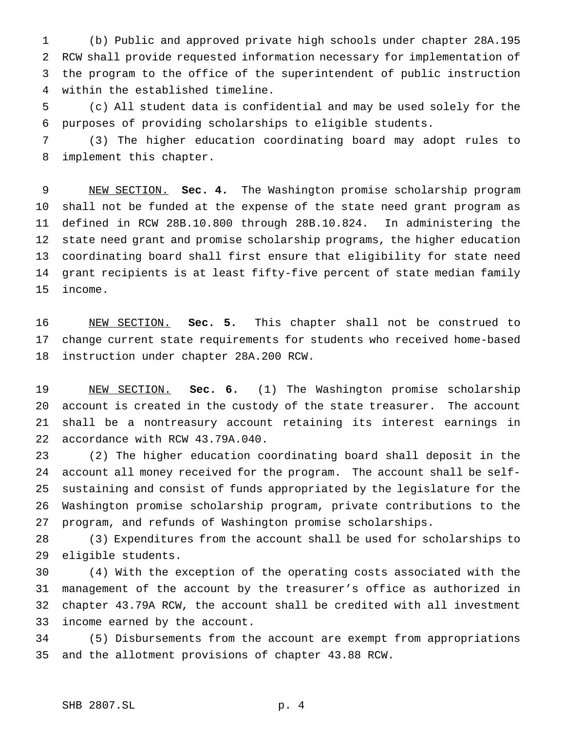(b) Public and approved private high schools under chapter 28A.195 RCW shall provide requested information necessary for implementation of the program to the office of the superintendent of public instruction within the established timeline.

 (c) All student data is confidential and may be used solely for the purposes of providing scholarships to eligible students.

 (3) The higher education coordinating board may adopt rules to implement this chapter.

 NEW SECTION. **Sec. 4.** The Washington promise scholarship program shall not be funded at the expense of the state need grant program as defined in RCW 28B.10.800 through 28B.10.824. In administering the state need grant and promise scholarship programs, the higher education coordinating board shall first ensure that eligibility for state need grant recipients is at least fifty-five percent of state median family income.

 NEW SECTION. **Sec. 5.** This chapter shall not be construed to change current state requirements for students who received home-based instruction under chapter 28A.200 RCW.

 NEW SECTION. **Sec. 6.** (1) The Washington promise scholarship account is created in the custody of the state treasurer. The account shall be a nontreasury account retaining its interest earnings in accordance with RCW 43.79A.040.

 (2) The higher education coordinating board shall deposit in the account all money received for the program. The account shall be self- sustaining and consist of funds appropriated by the legislature for the Washington promise scholarship program, private contributions to the program, and refunds of Washington promise scholarships.

 (3) Expenditures from the account shall be used for scholarships to eligible students.

 (4) With the exception of the operating costs associated with the management of the account by the treasurer's office as authorized in chapter 43.79A RCW, the account shall be credited with all investment income earned by the account.

 (5) Disbursements from the account are exempt from appropriations and the allotment provisions of chapter 43.88 RCW.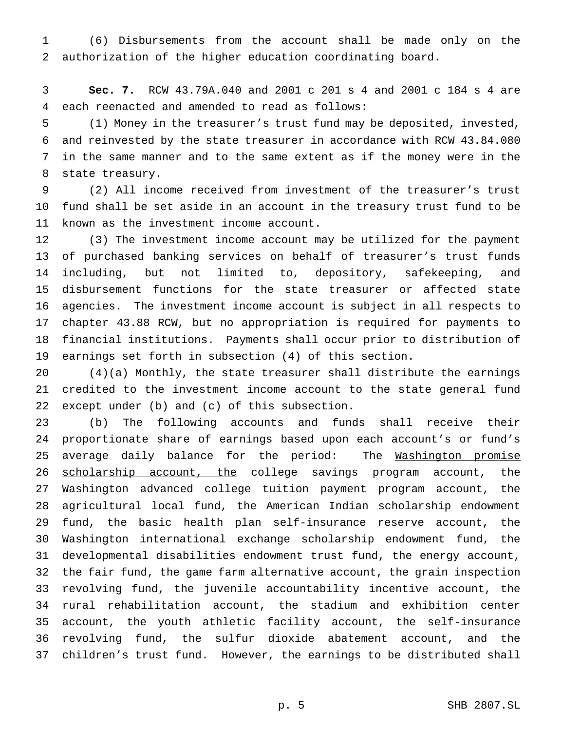(6) Disbursements from the account shall be made only on the authorization of the higher education coordinating board.

 **Sec. 7.** RCW 43.79A.040 and 2001 c 201 s 4 and 2001 c 184 s 4 are each reenacted and amended to read as follows:

 (1) Money in the treasurer's trust fund may be deposited, invested, and reinvested by the state treasurer in accordance with RCW 43.84.080 in the same manner and to the same extent as if the money were in the state treasury.

 (2) All income received from investment of the treasurer's trust fund shall be set aside in an account in the treasury trust fund to be known as the investment income account.

 (3) The investment income account may be utilized for the payment of purchased banking services on behalf of treasurer's trust funds including, but not limited to, depository, safekeeping, and disbursement functions for the state treasurer or affected state agencies. The investment income account is subject in all respects to chapter 43.88 RCW, but no appropriation is required for payments to financial institutions. Payments shall occur prior to distribution of earnings set forth in subsection (4) of this section.

 (4)(a) Monthly, the state treasurer shall distribute the earnings credited to the investment income account to the state general fund except under (b) and (c) of this subsection.

 (b) The following accounts and funds shall receive their proportionate share of earnings based upon each account's or fund's 25 average daily balance for the period: The Washington promise 26 scholarship account, the college savings program account, the Washington advanced college tuition payment program account, the agricultural local fund, the American Indian scholarship endowment fund, the basic health plan self-insurance reserve account, the Washington international exchange scholarship endowment fund, the developmental disabilities endowment trust fund, the energy account, the fair fund, the game farm alternative account, the grain inspection revolving fund, the juvenile accountability incentive account, the rural rehabilitation account, the stadium and exhibition center account, the youth athletic facility account, the self-insurance revolving fund, the sulfur dioxide abatement account, and the children's trust fund. However, the earnings to be distributed shall